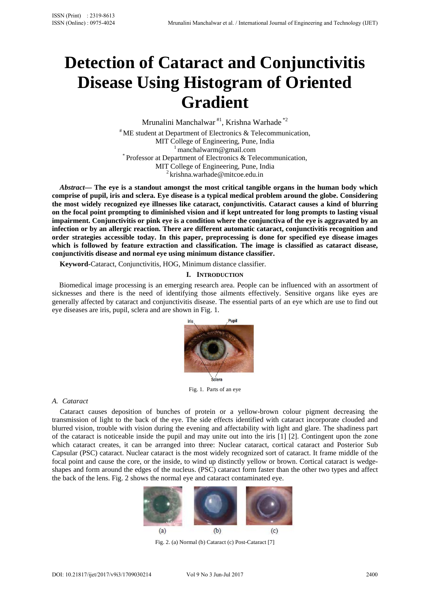# **Detection of Cataract and Conjunctivitis Disease Using Histogram of Oriented Gradient**

Mrunalini Manchalwar #1, Krishna Warhade \*2 # ME student at Department of Electronics & Telecommunication, MIT College of Engineering, Pune, India<br><sup>1</sup> manchalwarm@gmail.com<br><sup>\*</sup> Professor at Department of Electronics & Telecommunication, MIT College of Engineering, Pune, India<br><sup>2</sup> krishna.warhade@mitcoe.edu.in

*Abstract***— The eye is a standout amongst the most critical tangible organs in the human body which comprise of pupil, iris and sclera. Eye disease is a typical medical problem around the globe. Considering the most widely recognized eye illnesses like cataract, conjunctivitis. Cataract causes a kind of blurring on the focal point prompting to diminished vision and if kept untreated for long prompts to lasting visual impairment. Conjunctivitis or pink eye is a condition where the conjunctiva of the eye is aggravated by an infection or by an allergic reaction. There are different automatic cataract, conjunctivitis recognition and order strategies accessible today. In this paper, preprocessing is done for specified eye disease images which is followed by feature extraction and classification. The image is classified as cataract disease, conjunctivitis disease and normal eye using minimum distance classifier.** 

**Keyword-**Cataract, Conjunctivitis, HOG, Minimum distance classifier.

## **I. INTRODUCTION**

 Biomedical image processing is an emerging research area. People can be influenced with an assortment of sicknesses and there is the need of identifying those ailments effectively. Sensitive organs like eyes are generally affected by cataract and conjunctivitis disease. The essential parts of an eye which are use to find out eye diseases are iris, pupil, sclera and are shown in Fig. 1.



Fig. 1. Parts of an eye

## *A. Cataract*

Cataract causes deposition of bunches of protein or a yellow-brown colour pigment decreasing the transmission of light to the back of the eye. The side effects identified with cataract incorporate clouded and blurred vision, trouble with vision during the evening and affectability with light and glare. The shadiness part of the cataract is noticeable inside the pupil and may unite out into the iris [1] [2]. Contingent upon the zone which cataract creates, it can be arranged into three: Nuclear cataract, cortical cataract and Posterior Sub Capsular (PSC) cataract. Nuclear cataract is the most widely recognized sort of cataract. It frame middle of the focal point and cause the core, or the inside, to wind up distinctly yellow or brown. Cortical cataract is wedgeshapes and form around the edges of the nucleus. (PSC) cataract form faster than the other two types and affect the back of the lens. Fig. 2 shows the normal eye and cataract contaminated eye.



Fig. 2. (a) Normal (b) Cataract (c) Post-Cataract [7]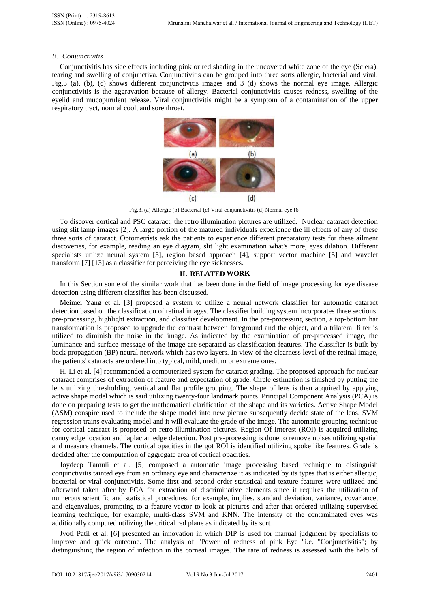#### *B. Conjunctivitis*

Conjunctivitis has side effects including pink or red shading in the uncovered white zone of the eye (Sclera), tearing and swelling of conjunctiva. Conjunctivitis can be grouped into three sorts allergic, bacterial and viral. Fig.3 (a), (b), (c) shows different conjunctivitis images and 3 (d) shows the normal eye image. Allergic conjunctivitis is the aggravation because of allergy. Bacterial conjunctivitis causes redness, swelling of the eyelid and mucopurulent release. Viral conjunctivitis might be a symptom of a contamination of the upper respiratory tract, normal cool, and sore throat.



Fig.3. (a) Allergic (b) Bacterial (c) Viral conjunctivitis (d) Normal eye [6]

To discover cortical and PSC cataract, the retro illumination pictures are utilized. Nuclear cataract detection using slit lamp images [2]. A large portion of the matured individuals experience the ill effects of any of these three sorts of cataract. Optometrists ask the patients to experience different preparatory tests for these ailment discoveries, for example, reading an eye diagram, slit light examination what's more, eyes dilation. Different specialists utilize neural system [3], region based approach [4], support vector machine [5] and wavelet transform [7] [13] as a classifier for perceiving the eye sicknesses.

## **II. RELATED WORK**

In this Section some of the similar work that has been done in the field of image processing for eye disease detection using different classifier has been discussed.

Meimei Yang et al. [3] proposed a system to utilize a neural network classifier for automatic cataract detection based on the classification of retinal images. The classifier building system incorporates three sections: pre-processing, highlight extraction, and classifier development. In the pre-processing section, a top-bottom hat transformation is proposed to upgrade the contrast between foreground and the object, and a trilateral filter is utilized to diminish the noise in the image. As indicated by the examination of pre-processed image, the luminance and surface message of the image are separated as classification features. The classifier is built by back propagation (BP) neural network which has two layers. In view of the clearness level of the retinal image, the patients' cataracts are ordered into typical, mild, medium or extreme ones.

H. Li et al. [4] recommended a computerized system for cataract grading. The proposed approach for nuclear cataract comprises of extraction of feature and expectation of grade. Circle estimation is finished by putting the lens utilizing thresholding, vertical and flat profile grouping. The shape of lens is then acquired by applying active shape model which is said utilizing twenty-four landmark points. Principal Component Analysis (PCA) is done on preparing tests to get the mathematical clarification of the shape and its varieties. Active Shape Model (ASM) conspire used to include the shape model into new picture subsequently decide state of the lens. SVM regression trains evaluating model and it will evaluate the grade of the image. The automatic grouping technique for cortical cataract is proposed on retro-illumination pictures. Region Of Interest (ROI) is acquired utilizing canny edge location and laplacian edge detection. Post pre-processing is done to remove noises utilizing spatial and measure channels. The cortical opacities in the got ROI is identified utilizing spoke like features. Grade is decided after the computation of aggregate area of cortical opacities.

Joydeep Tamuli et al. [5] composed a automatic image processing based technique to distinguish conjunctivitis tainted eye from an ordinary eye and characterize it as indicated by its types that is either allergic, bacterial or viral conjunctivitis. Some first and second order statistical and texture features were utilized and afterward taken after by PCA for extraction of discriminative elements since it requires the utilization of numerous scientific and statistical procedures, for example, implies, standard deviation, variance, covariance, and eigenvalues, prompting to a feature vector to look at pictures and after that ordered utilizing supervised learning technique, for example, multi-class SVM and KNN. The intensity of the contaminated eyes was additionally computed utilizing the critical red plane as indicated by its sort.

Jyoti Patil et al. [6] presented an innovation in which DIP is used for manual judgment by specialists to improve and quick outcome. The analysis of "Power of redness of pink Eye "i.e. "Conjunctivitis"; by distinguishing the region of infection in the corneal images. The rate of redness is assessed with the help of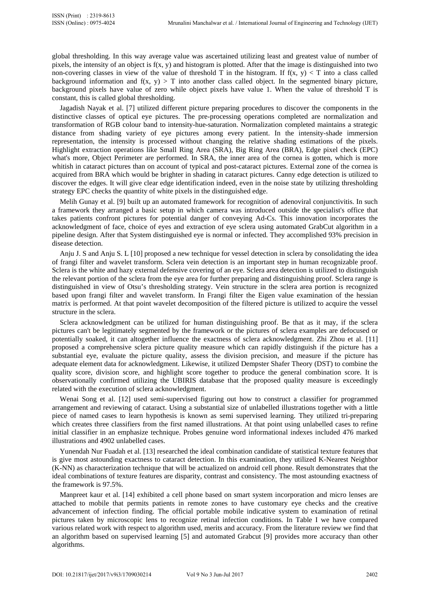global thresholding. In this way average value was ascertained utilizing least and greatest value of number of pixels, the intensity of an object is  $f(x, y)$  and histogram is plotted. After that the image is distinguished into two non-covering classes in view of the value of threshold T in the histogram. If  $f(x, y) < T$  into a class called background information and  $f(x, y) > T$  into another class called object. In the segmented binary picture, background pixels have value of zero while object pixels have value 1. When the value of threshold T is constant, this is called global thresholding.

Jagadish Nayak et al. [7] utilized different picture preparing procedures to discover the components in the distinctive classes of optical eye pictures. The pre-processing operations completed are normalization and transformation of RGB colour band to intensity-hue-saturation. Normalization completed maintains a strategic distance from shading variety of eye pictures among every patient. In the intensity-shade immersion representation, the intensity is processed without changing the relative shading estimations of the pixels. Highlight extraction operations like Small Ring Area (SRA), Big Ring Area (BRA), Edge pixel check (EPC) what's more. Object Perimeter are performed. In SRA, the inner area of the cornea is gotten, which is more whitish in cataract pictures than on account of typical and post-cataract pictures. External zone of the cornea is acquired from BRA which would be brighter in shading in cataract pictures. Canny edge detection is utilized to discover the edges. It will give clear edge identification indeed, even in the noise state by utilizing thresholding strategy EPC checks the quantity of white pixels in the distinguished edge.

Melih Gunay et al. [9] built up an automated framework for recognition of adenoviral conjunctivitis. In such a framework they arranged a basic setup in which camera was introduced outside the specialist's office that takes patients confront pictures for potential danger of conveying Ad-Cs. This innovation incorporates the acknowledgment of face, choice of eyes and extraction of eye sclera using automated GrabCut algorithm in a pipeline design. After that System distinguished eye is normal or infected. They accomplished 93% precision in disease detection.

Anju J. S and Anju S. L [10] proposed a new technique for vessel detection in sclera by consolidating the idea of frangi filter and wavelet transform. Sclera vein detection is an important step in human recognizable proof. Sclera is the white and hazy external defensive covering of an eye. Sclera area detection is utilized to distinguish the relevant portion of the sclera from the eye area for further preparing and distinguishing proof. Sclera range is distinguished in view of Otsu's thresholding strategy. Vein structure in the sclera area portion is recognized based upon frangi filter and wavelet transform. In Frangi filter the Eigen value examination of the hessian matrix is performed. At that point wavelet decomposition of the filtered picture is utilized to acquire the vessel structure in the sclera.

Sclera acknowledgment can be utilized for human distinguishing proof. Be that as it may, if the sclera pictures can't be legitimately segmented by the framework or the pictures of sclera examples are defocused or potentially soaked, it can altogether influence the exactness of sclera acknowledgment. Zhi Zhou et al. [11] proposed a comprehensive sclera picture quality measure which can rapidly distinguish if the picture has a substantial eye, evaluate the picture quality, assess the division precision, and measure if the picture has adequate element data for acknowledgment. Likewise, it utilized Dempster Shafer Theory (DST) to combine the quality score, division score, and highlight score together to produce the general combination score. It is observationally confirmed utilizing the UBIRIS database that the proposed quality measure is exceedingly related with the execution of sclera acknowledgment.

Wenai Song et al. [12] used semi-supervised figuring out how to construct a classifier for programmed arrangement and reviewing of cataract. Using a substantial size of unlabelled illustrations together with a little piece of named cases to learn hypothesis is known as semi supervised learning. They utilized tri-preparing which creates three classifiers from the first named illustrations. At that point using unlabelled cases to refine initial classifier in an emphasize technique. Probes genuine word informational indexes included 476 marked illustrations and 4902 unlabelled cases.

Yunendah Nur Fuadah et al. [13] researched the ideal combination candidate of statistical texture features that is give most astounding exactness to cataract detection. In this examination, they utilized K-Nearest Neighbor (K-NN) as characterization technique that will be actualized on android cell phone. Result demonstrates that the ideal combinations of texture features are disparity, contrast and consistency. The most astounding exactness of the framework is 97.5%.

Manpreet kaur et al. [14] exhibited a cell phone based on smart system incorporation and micro lenses are attached to mobile that permits patients in remote zones to have customary eye checks and the creative advancement of infection finding. The official portable mobile indicative system to examination of retinal pictures taken by microscopic lens to recognize retinal infection conditions. In Table I we have compared various related work with respect to algorithm used, merits and accuracy. From the literature review we find that an algorithm based on supervised learning [5] and automated Grabcut [9] provides more accuracy than other algorithms.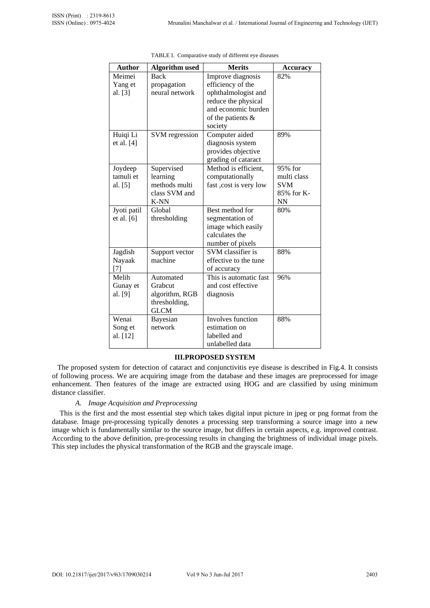| <b>Author</b>                     | <b>Algorithm</b> used                                                   | <b>Merits</b>                                                                                                                               | <b>Accuracy</b>                                                 |
|-----------------------------------|-------------------------------------------------------------------------|---------------------------------------------------------------------------------------------------------------------------------------------|-----------------------------------------------------------------|
| Meimei<br>Yang et<br>al. [3]      | <b>Back</b><br>propagation<br>neural network                            | Improve diagnosis<br>efficiency of the<br>ophthalmologist and<br>reduce the physical<br>and economic burden<br>of the patients &<br>society | 82%                                                             |
| Huiqi Li<br>et al. $[4]$          | SVM regression                                                          | Computer aided<br>diagnosis system<br>provides objective<br>grading of cataract                                                             | 89%                                                             |
| Joydeep<br>tamuli et<br>al. $[5]$ | Supervised<br>learning<br>methods multi<br>class SVM and<br><b>K-NN</b> | Method is efficient,<br>computationally<br>fast , cost is very low                                                                          | 95% for<br>multi class<br><b>SVM</b><br>85% for K-<br><b>NN</b> |
| Jyoti patil<br>et al. [6]         | Global<br>thresholding                                                  | Best method for<br>segmentation of<br>image which easily<br>calculates the<br>number of pixels                                              | 80%                                                             |
| Jagdish<br>Nayaak<br>[7]          | Support vector<br>machine                                               | SVM classifier is<br>effective to the tune<br>of accuracy                                                                                   | 88%                                                             |
| Melih<br>Gunay et<br>al. [9]      | Automated<br>Grabcut<br>algorithm, RGB<br>thresholding,<br><b>GLCM</b>  | This is automatic fast<br>and cost effective<br>diagnosis                                                                                   | 96%                                                             |
| Wenai<br>Song et<br>al. [12]      | Bayesian<br>network                                                     | <b>Involves</b> function<br>estimation on<br>labelled and<br>unlabelled data                                                                | 88%                                                             |

TABLE I. Comparative study of different eye diseases

## **III.PROPOSED SYSTEM**

 The proposed system for detection of cataract and conjunctivitis eye disease is described in Fig.4. It consists of following process. We are acquiring image from the database and these images are preprocessed for image enhancement. Then features of the image are extracted using HOG and are classified by using minimum distance classifier.

## *A. Image Acquisition and Preprocessing*

This is the first and the most essential step which takes digital input picture in jpeg or png format from the database. Image pre-processing typically denotes a processing step transforming a source image into a new image which is fundamentally similar to the source image, but differs in certain aspects, e.g. improved contrast. According to the above definition, pre-processing results in changing the brightness of individual image pixels. This step includes the physical transformation of the RGB and the grayscale image.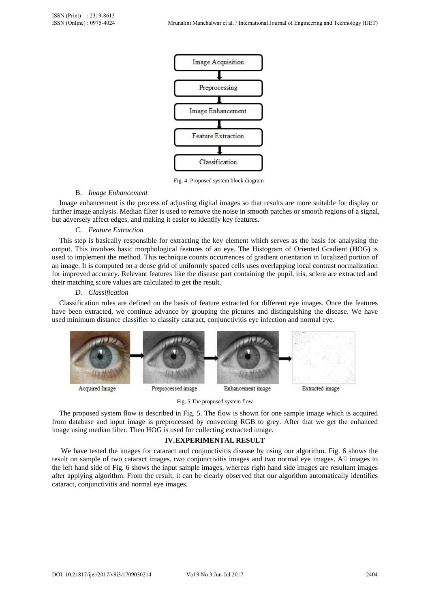

Fig. 4. Proposed system block diagram

## B. *Image Enhancement*

 Image enhancement is the process of adjusting digital images so that results are more suitable for display or further image analysis. Median filter is used to remove the noise in smooth patches or smooth regions of a signal, but adversely affect edges, and making it easier to identify key features.

## *C. Feature Extraction*

 This step is basically responsible for extracting the key element which serves as the basis for analysing the output. This involves basic morphological features of an eye. The Histogram of Oriented Gradient (HOG) is used to implement the method. This technique counts occurrences of gradient orientation in localized portion of an image. It is computed on a dense grid of uniformly spaced cells uses overlapping local contrast normalization for improved accuracy. Relevant features like the disease part containing the pupil, iris, sclera are extracted and their matching score values are calculated to get the result.

## *D. Classification*

 Classification rules are defined on the basis of feature extracted for different eye images. Once the features have been extracted, we continue advance by grouping the pictures and distinguishing the disease. We have used minimum distance classifier to classify cataract, conjunctivitis eye infection and normal eye.



Fig. 5.The proposed system flow

 The proposed system flow is described in Fig. 5. The flow is shown for one sample image which is acquired from database and input image is preprocessed by converting RGB to grey. After that we get the enhanced image using median filter. Then HOG is used for collecting extracted image.

## **IV.EXPERIMENTAL RESULT**

We have tested the images for cataract and conjunctivitis disease by using our algorithm. Fig. 6 shows the result on sample of two cataract images, two conjunctivitis images and two normal eye images. All images to the left hand side of Fig. 6 shows the input sample images, whereas right hand side images are resultant images after applying algorithm. From the result, it can be clearly observed that our algorithm automatically identifies cataract, conjunctivitis and normal eye images.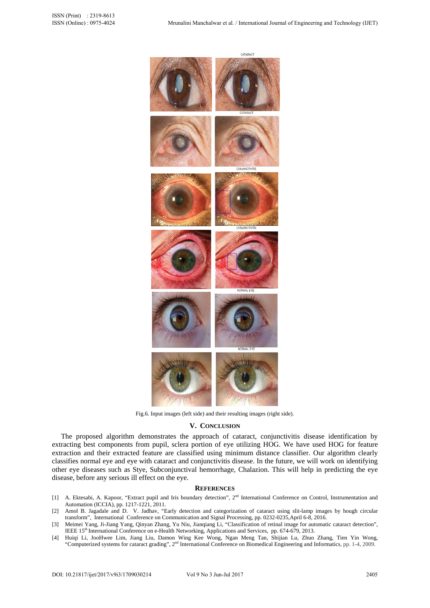

Fig.6. Input images (left side) and their resulting images (right side).

#### **V. CONCLUSION**

 The proposed algorithm demonstrates the approach of cataract, conjunctivitis disease identification by extracting best components from pupil, sclera portion of eye utilizing HOG. We have used HOG for feature extraction and their extracted feature are classified using minimum distance classifier. Our algorithm clearly classifies normal eye and eye with cataract and conjunctivitis disease. In the future, we will work on identifying other eye diseases such as Stye, Subconjunctival hemorrhage, Chalazion. This will help in predicting the eye disease, before any serious ill effect on the eye.

## **REFERENCES**

- [1] A. Ektesabi, A. Kapoor, "Extract pupil and Iris boundary detection", 2<sup>nd</sup> International Conference on Control, Instrumentation and Automation (ICCIA), pp. 1217-1221, 2011.
- [2] Amol B. Jagadale and D. V. Jadhav, "Early detection and categorization of cataract using slit-lamp images by hough circular transform", International Conference on Communication and Signal Processing, pp. 0232-0235,April 6-8, 2016.
- [3] Meimei Yang, Ji-Jiang Yang, Qinyan Zhang, Yu Niu, Jianqiang Li, "Classification of retinal image for automatic cataract detection", IEEE 15<sup>th</sup> International Conference on e-Health Networking, Applications and Services, pp. 674-679, 2013.
- [4] Huiqi Li, JooHwee Lim, Jiang Liu, Damon Wing Kee Wong, Ngan Meng Tan, Shijian Lu, Zhuo Zhang, Tien Yin Wong, "Computerized systems for cataract grading", 2<sup>nd</sup> International Conference on Biomedical Engineering and Informatics, pp. 1-4, 2009.